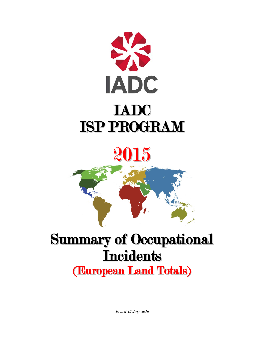

2015

# Summary of Occupational **Incidents** (European Land Totals)

Issued 15 July 2016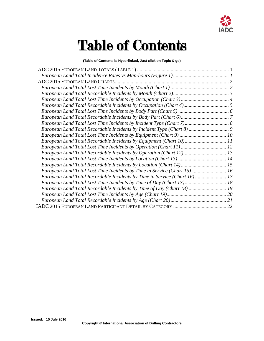

## Table of Contents

#### **(Table of Contents is Hyperlinked, Just click on Topic & go)**

| European Land Total Recordable Incidents by Equipment (Chart 10) 11       |  |
|---------------------------------------------------------------------------|--|
|                                                                           |  |
|                                                                           |  |
|                                                                           |  |
|                                                                           |  |
| European Land Total Lost Time Incidents by Time in Service (Chart 15) 16  |  |
| European Land Total Recordable Incidents by Time in Service (Chart 16) 17 |  |
| European Land Total Lost Time Incidents by Time of Day (Chart 17) 18      |  |
| European Land Total Recordable Incidents by Time of Day (Chart 18)  19    |  |
|                                                                           |  |
|                                                                           |  |
|                                                                           |  |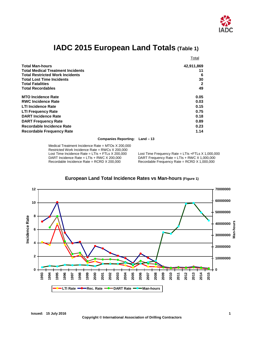

## **IADC 2015 European Land Totals (Table 1)**

<span id="page-2-0"></span>

|                                          | Total      |
|------------------------------------------|------------|
| <b>Total Man-hours</b>                   | 42,911,869 |
| <b>Total Medical Treatment Incidents</b> | 11         |
| <b>Total Restricted Work Incidents</b>   | 6          |
| <b>Total Lost Time Incidents</b>         | 30         |
| <b>Total Fatalities</b>                  | 2          |
| <b>Total Recordables</b>                 | 49         |
| <b>MTO Incidence Rate</b>                | 0.05       |
| <b>RWC Incidence Rate</b>                | 0.03       |
| <b>LTI Incidence Rate</b>                | 0.15       |
| <b>LTI Frequency Rate</b>                | 0.75       |
| <b>DART Incidence Rate</b>               | 0.18       |
| <b>DART Frequency Rate</b>               | 0.89       |
| Recordable Incidence Rate                | 0.23       |
| <b>Recordable Frequency Rate</b>         | 1.14       |

**Companies Reporting: Land – 13**

Medical Treatment Incidence Rate = MTOs X 200,000 Restricted Work Incidence Rate = RWCs X 200,000<br>Lost Time Incidence Rate = LTIs + FTLs X 200,000 Lost Time Incidence Rate = LTIs + FTLs X 200,000 Lost Time Frequency Rate = LTIs + FTLs X 1,000,000<br>DART Incidence Rate = LTIs + RWC X 200,000 DART Frequency Rate = LTIs + RWC X 1,000,000 DART Incidence Rate = LTIs + RWC X 200,000 DART Frequency Rate = LTIs + RWC X 1,000,000<br>Recordable Incidence Rate = RCRD X 200,000 Recordable Frequency Rate = RCRD X 1,000,000

Recordable Frequency Rate = RCRD  $X$  1,000,000

<span id="page-2-1"></span>

#### **European Land Total Incidence Rates vs Man-hours (Figure 1)**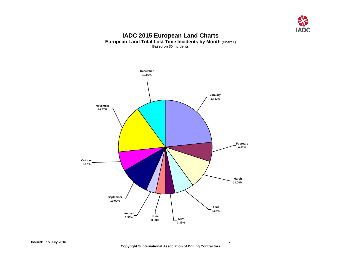

#### **IADC 2015 European Land Charts European Land Total Lost Time Incidents by Month (Chart 1) Based on 30 Incidents**

<span id="page-3-1"></span><span id="page-3-0"></span>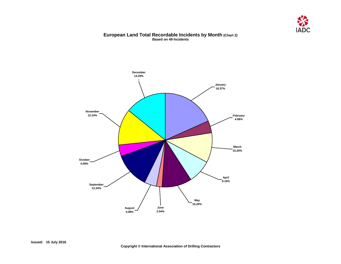

#### **European Land Total Recordable Incidents by Month (Chart 2) Based on 49 Incidents**

<span id="page-4-0"></span>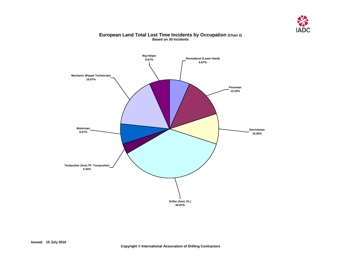

#### **European Land Total Lost Time Incidents by Occupation (Chart 3) Based on 30 Incidents**

<span id="page-5-0"></span>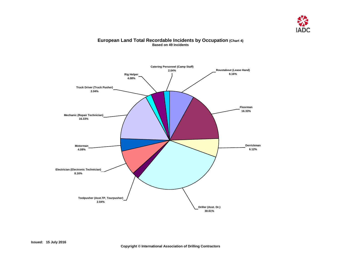

### <span id="page-6-0"></span>**Catering Personnel (Camp Staff) 2.04% Rig Helper 4.08% Truck Driver (Truck Pusher) 2.04% Mechanic (Repair Technician) 16.33% Motorman 4.08% Electrician (Electronic Technician) 8.16% Toolpusher (Asst.TP, Tourpusher) 2.04% Driller (Asst. Dr.) 30.61% Derrickman 6.12% Floorman 16.33% Roustabout (Lease Hand) 8.16%**

#### **European Land Total Recordable Incidents by Occupation (Chart 4) Based on 49 Incidents**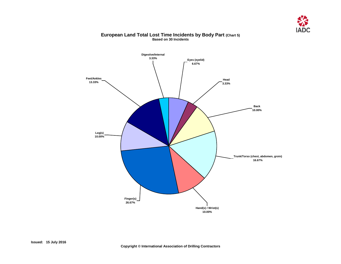

#### **European Land Total Lost Time Incidents by Body Part (Chart 5) Based on 30 Incidents**

<span id="page-7-0"></span>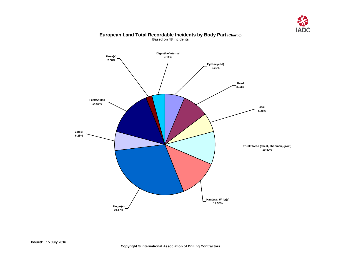

## <span id="page-8-0"></span>**Knee(s) 2.08% Digestive/Internal 4.17% Feet/Ankles 14.58% Leg(s) 6.25% Finger(s) 29.17% Hand(s) / Wrist(s) 12.50% Trunk/Torso (chest, abdomen, groin) 10.42% Back 6.25% Head 8.33% Eyes (eyelid) 6.25%**

#### **European Land Total Recordable Incidents by Body Part (Chart 6) Based on 48 Incidents**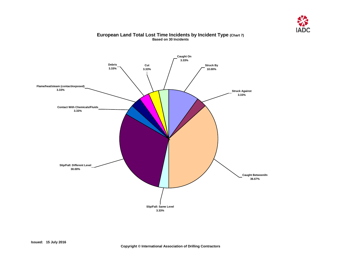

### <span id="page-9-0"></span>**Caught On 3.33% Cut 3.33% Debris 3.33% Flame/heat/steam (contact/exposed) 3.33% Contact With Chemicals/Fluids 3.33% Slip/Fall: Different Level 30.00% Slip/Fall: Same Level 3.33% Caught Between/In 36.67% Struck Against 3.33% Struck By 10.00%**

#### **European Land Total Lost Time Incidents by Incident Type (Chart 7) Based on 30 Incidents**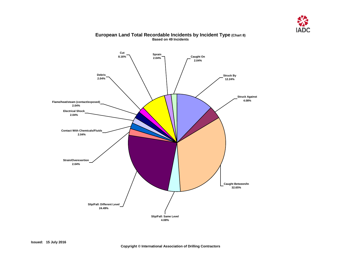

<span id="page-10-0"></span>

#### **European Land Total Recordable Incidents by Incident Type (Chart 8) Based on 49 Incidents**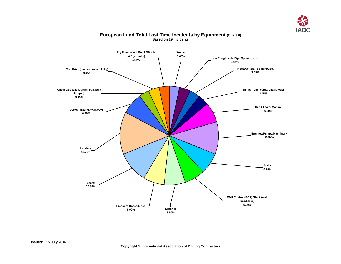

<span id="page-11-0"></span>

#### **European Land Total Lost Time Incidents by Equipment (Chart 9) Based on 29 Incidents**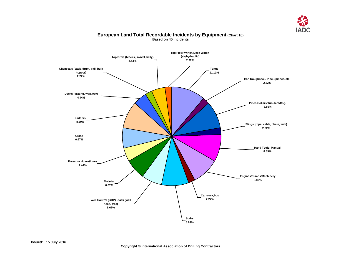

#### <span id="page-12-0"></span>**Rig Floor Winch/Deck Winch (air/hydraulic) 2.22% Tongs 11.11% Iron Roughneck, Pipe Spinner, etc. 2.22% Pipes/Collars/Tubulars/Csg. 8.89% Slings (rope, cable, chain, web) 2.22% Hand Tools: Manual 8.89% Engines/Pumps/Machinery 8.89% Top Drive (blocks, swivel, kelly) 4.44% Car,truck,bus 2.22% Stairs 8.89% Well Control (BOP) Stack (well head, tree) 6.67% Material 6.67% Pressure Hoses/Lines 4.44% Crane 6.67% Chemicals (sack, drum, pail, bulk hopper) 2.22% Ladders 8.89% Decks (grating, walkway) 4.44%**

#### **European Land Total Recordable Incidents by Equipment (Chart 10) Based on 45 Incidents**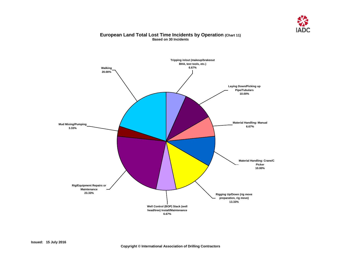

#### **European Land Total Lost Time Incidents by Operation (Chart 11) Based on 30 Incidents**

<span id="page-13-0"></span>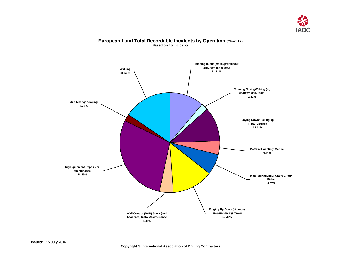

#### <span id="page-14-0"></span>**Mud Mixing/Pumping 2.22% Rig/Equipment Repairs or Maintenance 28.89% Well Control (BOP) Stack (well head/tree) Install/Maintenance 4.44% Rigging Up/Down (rig move preparation, rig move) 13.33% Material Handling: Crane/Cherry Picker 6.67% Material Handling: Manual 4.44% Laying Down/Picking up Pipe/Tubulars 11.11% Running Casing/Tubing (rig up/down csg. tools) 2.22% Tripping in/out (makeup/brakeout BHA, test tools, etc.) 11.11% Walking 15.56%**

#### **European Land Total Recordable Incidents by Operation (Chart 12) Based on 45 Incidents**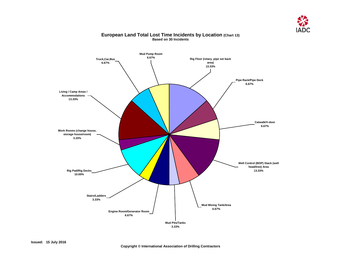

#### <span id="page-15-0"></span>**Pipe Rack/Pipe Deck 6.67% Catwalk/V-door 6.67% Well Control (BOP) Stack (well head/tree) Area 13.33% Mud Mixing Tank/Area 6.67% Mud Pits/Tanks 3.33% Engine Room/Generator Room 6.67% Stairs/Ladders 3.33% Rig Pad/Rig Decks 10.00% Mud Pump Room 6.67% Truck,Car,Bus 6.67% Rig Floor (rotary, pipe set back area) 13.33% Work Rooms (change house, storage house/room) 3.33% Living / Camp Areas / Accommodations 13.33%**

#### **European Land Total Lost Time Incidents by Location (Chart 13) Based on 30 Incidents**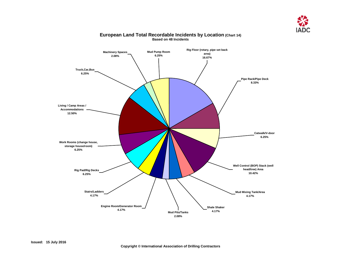

<span id="page-16-0"></span>

#### **European Land Total Recordable Incidents by Location (Chart 14) Based on 48 Incidents**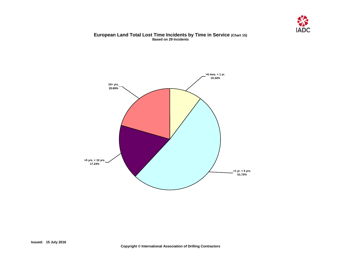

#### **European Land Total Lost Time Incidents by Time in Service (Chart 15) Based on 29 Incidents**

<span id="page-17-0"></span>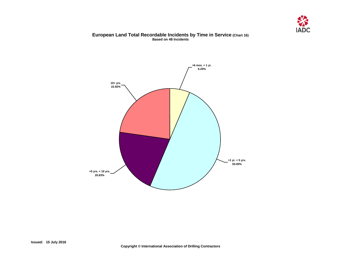

#### **European Land Total Recordable Incidents by Time in Service (Chart 16) Based on 48 Incidents**

<span id="page-18-0"></span>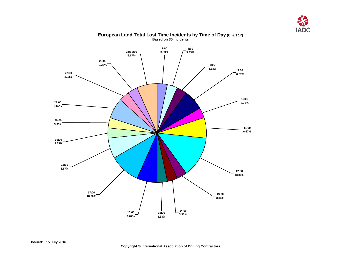

<span id="page-19-0"></span>

#### **European Land Total Lost Time Incidents by Time of Day (Chart 17) Based on 30 Incidents**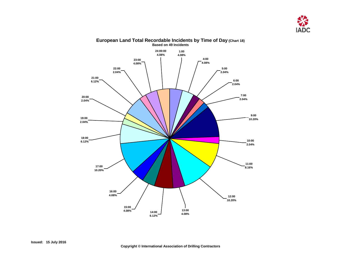

<span id="page-20-0"></span>

## **European Land Total Recordable Incidents by Time of Day (Chart 18)**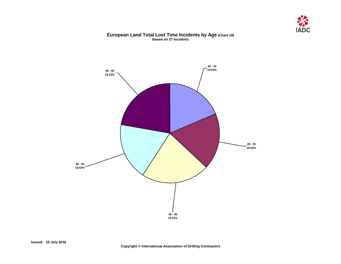

#### **European Land Total Lost Time Incidents by Age (Chart 19) Based on 27 Incidents**